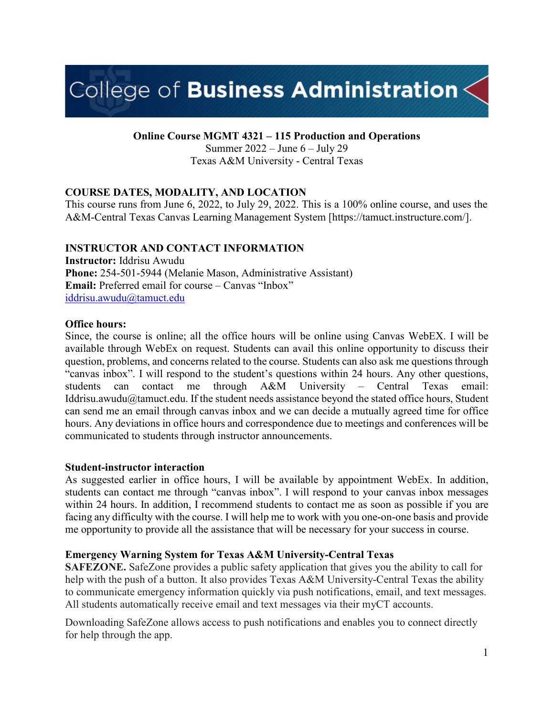# College of Business Administration $\leq$

**Online Course MGMT 4321 – 115 Production and Operations** 

Summer 2022 – June 6 – July 29 Texas A&M University - Central Texas

## **COURSE DATES, MODALITY, AND LOCATION**

This course runs from June 6, 2022, to July 29, 2022. This is a 100% online course, and uses the A&M-Central Texas Canvas Learning Management System [https://tamuct.instructure.com/].

## **INSTRUCTOR AND CONTACT INFORMATION**

**Instructor:** Iddrisu Awudu **Phone:** 254-501-5944 (Melanie Mason, Administrative Assistant) **Email:** Preferred email for course – Canvas "Inbox" [iddrisu.awudu@tamuct.edu](mailto:iddrisu.awudu@tamuct.edu)

## **Office hours:**

Since, the course is online; all the office hours will be online using Canvas WebEX. I will be available through WebEx on request. Students can avail this online opportunity to discuss their question, problems, and concerns related to the course. Students can also ask me questions through "canvas inbox". I will respond to the student's questions within 24 hours. Any other questions, students can contact me through A&M University – Central Texas email: Iddrisu.awudu@tamuct.edu. If the student needs assistance beyond the stated office hours, Student can send me an email through canvas inbox and we can decide a mutually agreed time for office hours. Any deviations in office hours and correspondence due to meetings and conferences will be communicated to students through instructor announcements.

## **Student-instructor interaction**

As suggested earlier in office hours, I will be available by appointment WebEx. In addition, students can contact me through "canvas inbox". I will respond to your canvas inbox messages within 24 hours. In addition, I recommend students to contact me as soon as possible if you are facing any difficulty with the course. I will help me to work with you one-on-one basis and provide me opportunity to provide all the assistance that will be necessary for your success in course.

## **Emergency Warning System for Texas A&M University-Central Texas**

**SAFEZONE.** SafeZone provides a public safety application that gives you the ability to call for help with the push of a button. It also provides Texas A&M University-Central Texas the ability to communicate emergency information quickly via push notifications, email, and text messages. All students automatically receive email and text messages via their myCT accounts.

Downloading SafeZone allows access to push notifications and enables you to connect directly for help through the app.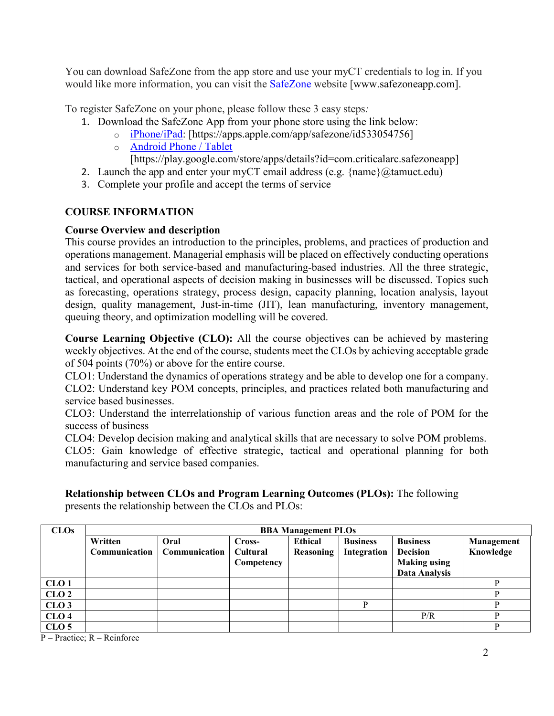You can download SafeZone from the app store and use your myCT credentials to log in. If you would like more information, you can visit the **[SafeZone](http://www.safezoneapp.com/)** website [www.safezoneapp.com].

To register SafeZone on your phone, please follow these 3 easy steps*:*

- 1. Download the SafeZone App from your phone store using the link below:
	- o [iPhone/iPad:](https://apps.apple.com/app/safezone/id533054756) [https://apps.apple.com/app/safezone/id533054756]
		- o [Android Phone / Tablet](https://play.google.com/store/apps/details?id=com.criticalarc.safezoneapp) [https://play.google.com/store/apps/details?id=com.criticalarc.safezoneapp]
- 2. Launch the app and enter your myCT email address (e.g.  $\{\text{name}\}\langle\omega\text{tamuct.edu}\rangle$ )
- 3. Complete your profile and accept the terms of service

## **COURSE INFORMATION**

## **Course Overview and description**

This course provides an introduction to the principles, problems, and practices of production and operations management. Managerial emphasis will be placed on effectively conducting operations and services for both service-based and manufacturing-based industries. All the three strategic, tactical, and operational aspects of decision making in businesses will be discussed. Topics such as forecasting, operations strategy, process design, capacity planning, location analysis, layout design, quality management, Just-in-time (JIT), lean manufacturing, inventory management, queuing theory, and optimization modelling will be covered.

**Course Learning Objective (CLO):** All the course objectives can be achieved by mastering weekly objectives. At the end of the course, students meet the CLOs by achieving acceptable grade of 504 points (70%) or above for the entire course.

CLO1: Understand the dynamics of operations strategy and be able to develop one for a company. CLO2: Understand key POM concepts, principles, and practices related both manufacturing and service based businesses.

CLO3: Understand the interrelationship of various function areas and the role of POM for the success of business

CLO4: Develop decision making and analytical skills that are necessary to solve POM problems. CLO5: Gain knowledge of effective strategic, tactical and operational planning for both manufacturing and service based companies.

**Relationship between CLOs and Program Learning Outcomes (PLOs):** The following presents the relationship between the CLOs and PLOs:

| CLOs             | <b>BBA Management PLOs</b> |                               |                 |                |                 |                     |            |
|------------------|----------------------------|-------------------------------|-----------------|----------------|-----------------|---------------------|------------|
|                  | Written                    | Oral                          | Cross-          | <b>Ethical</b> | <b>Business</b> | <b>Business</b>     | Management |
|                  |                            | Communication   Communication | <b>Cultural</b> | Reasoning      | Integration     | <b>Decision</b>     | Knowledge  |
|                  |                            |                               | Competency      |                |                 | <b>Making using</b> |            |
|                  |                            |                               |                 |                |                 | Data Analysis       |            |
| CLO <sub>1</sub> |                            |                               |                 |                |                 |                     | D          |
| CLO <sub>2</sub> |                            |                               |                 |                |                 |                     |            |
| CLO <sub>3</sub> |                            |                               |                 |                |                 |                     |            |
| CLO <sub>4</sub> |                            |                               |                 |                |                 | P/R                 | D          |
| CLO <sub>5</sub> |                            |                               |                 |                |                 |                     |            |

P – Practice; R – Reinforce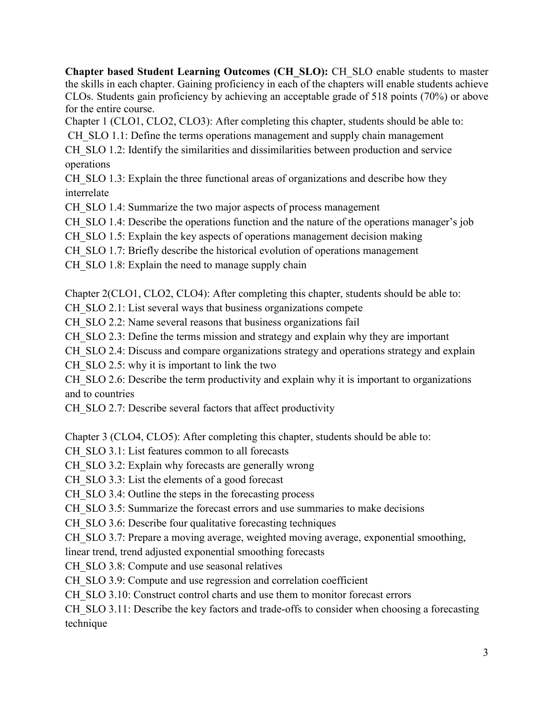**Chapter based Student Learning Outcomes (CH\_SLO):** CH\_SLO enable students to master the skills in each chapter. Gaining proficiency in each of the chapters will enable students achieve CLOs. Students gain proficiency by achieving an acceptable grade of 518 points (70%) or above for the entire course.

Chapter 1 (CLO1, CLO2, CLO3): After completing this chapter, students should be able to:

CH SLO 1.1: Define the terms operations management and supply chain management

CH SLO 1.2: Identify the similarities and dissimilarities between production and service operations

CH SLO 1.3: Explain the three functional areas of organizations and describe how they interrelate

CH SLO 1.4: Summarize the two major aspects of process management

CH SLO 1.4: Describe the operations function and the nature of the operations manager's job

CH SLO 1.5: Explain the key aspects of operations management decision making

CH SLO 1.7: Briefly describe the historical evolution of operations management

CH SLO 1.8: Explain the need to manage supply chain

Chapter 2(CLO1, CLO2, CLO4): After completing this chapter, students should be able to:

CH SLO 2.1: List several ways that business organizations compete

CH SLO 2.2: Name several reasons that business organizations fail

CH SLO 2.3: Define the terms mission and strategy and explain why they are important

CH\_SLO 2.4: Discuss and compare organizations strategy and operations strategy and explain

CH $\,$ SLO 2.5: why it is important to link the two

CH SLO 2.6: Describe the term productivity and explain why it is important to organizations and to countries

CH SLO 2.7: Describe several factors that affect productivity

Chapter 3 (CLO4, CLO5): After completing this chapter, students should be able to:

CH SLO 3.1: List features common to all forecasts

CH SLO 3.2: Explain why forecasts are generally wrong

CH SLO 3.3: List the elements of a good forecast

CH SLO 3.4: Outline the steps in the forecasting process

CH SLO 3.5: Summarize the forecast errors and use summaries to make decisions

CH SLO 3.6: Describe four qualitative forecasting techniques

CH SLO 3.7: Prepare a moving average, weighted moving average, exponential smoothing,

linear trend, trend adjusted exponential smoothing forecasts

CH SLO 3.8: Compute and use seasonal relatives

CH SLO 3.9: Compute and use regression and correlation coefficient

CH\_SLO 3.10: Construct control charts and use them to monitor forecast errors

CH SLO 3.11: Describe the key factors and trade-offs to consider when choosing a forecasting technique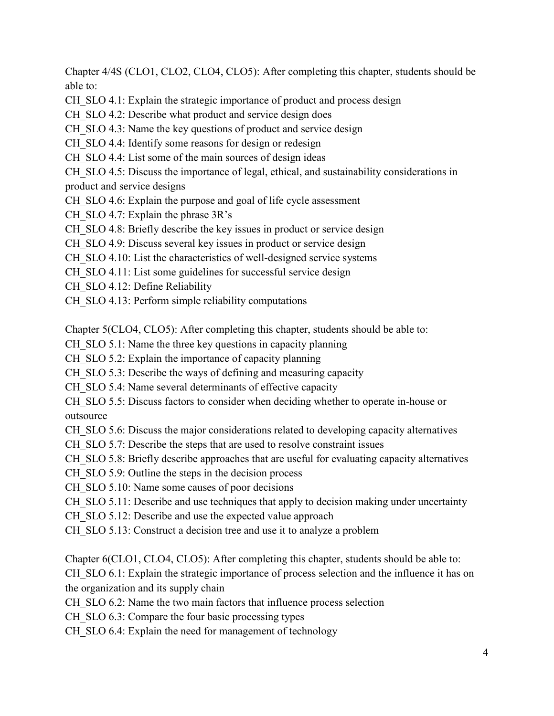Chapter 4/4S (CLO1, CLO2, CLO4, CLO5): After completing this chapter, students should be able to:

CH SLO 4.1: Explain the strategic importance of product and process design

CH SLO 4.2: Describe what product and service design does

CH SLO 4.3: Name the key questions of product and service design

CH SLO 4.4: Identify some reasons for design or redesign

CH SLO 4.4: List some of the main sources of design ideas

CH SLO 4.5: Discuss the importance of legal, ethical, and sustainability considerations in product and service designs

CH\_SLO 4.6: Explain the purpose and goal of life cycle assessment

CH SLO 4.7: Explain the phrase  $3R's$ 

CH SLO 4.8: Briefly describe the key issues in product or service design

CH SLO 4.9: Discuss several key issues in product or service design

CH SLO 4.10: List the characteristics of well-designed service systems

CH SLO 4.11: List some guidelines for successful service design

CH SLO 4.12: Define Reliability

CH SLO 4.13: Perform simple reliability computations

Chapter 5(CLO4, CLO5): After completing this chapter, students should be able to:

CH SLO 5.1: Name the three key questions in capacity planning

CH SLO 5.2: Explain the importance of capacity planning

CH SLO 5.3: Describe the ways of defining and measuring capacity

CH SLO 5.4: Name several determinants of effective capacity

CH SLO 5.5: Discuss factors to consider when deciding whether to operate in-house or outsource

CH SLO 5.6: Discuss the major considerations related to developing capacity alternatives

CH SLO 5.7: Describe the steps that are used to resolve constraint issues

CH SLO 5.8: Briefly describe approaches that are useful for evaluating capacity alternatives

CH SLO 5.9: Outline the steps in the decision process

CH SLO 5.10: Name some causes of poor decisions

CH SLO 5.11: Describe and use techniques that apply to decision making under uncertainty

CH SLO 5.12: Describe and use the expected value approach

CH SLO 5.13: Construct a decision tree and use it to analyze a problem

Chapter 6(CLO1, CLO4, CLO5): After completing this chapter, students should be able to:

CH SLO 6.1: Explain the strategic importance of process selection and the influence it has on the organization and its supply chain

CH SLO 6.2: Name the two main factors that influence process selection

CH SLO 6.3: Compare the four basic processing types

CH SLO 6.4: Explain the need for management of technology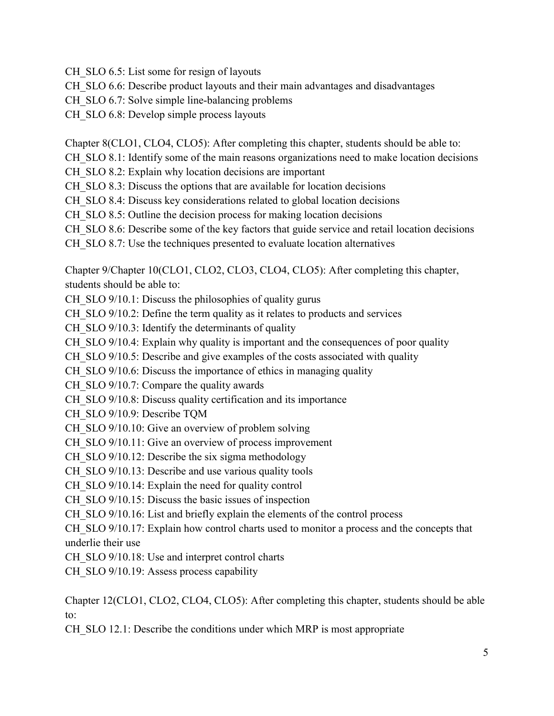CH SLO 6.5: List some for resign of layouts

CH\_SLO 6.6: Describe product layouts and their main advantages and disadvantages

CH SLO 6.7: Solve simple line-balancing problems

CH SLO 6.8: Develop simple process layouts

Chapter 8(CLO1, CLO4, CLO5): After completing this chapter, students should be able to:

CH SLO 8.1: Identify some of the main reasons organizations need to make location decisions

CH SLO 8.2: Explain why location decisions are important

CH SLO 8.3: Discuss the options that are available for location decisions

CH SLO 8.4: Discuss key considerations related to global location decisions

CH SLO 8.5: Outline the decision process for making location decisions

CH SLO 8.6: Describe some of the key factors that guide service and retail location decisions

CH SLO 8.7: Use the techniques presented to evaluate location alternatives

Chapter 9/Chapter 10(CLO1, CLO2, CLO3, CLO4, CLO5): After completing this chapter, students should be able to:

CH SLO 9/10.1: Discuss the philosophies of quality gurus

CH SLO 9/10.2: Define the term quality as it relates to products and services

CH SLO 9/10.3: Identify the determinants of quality

CH SLO 9/10.4: Explain why quality is important and the consequences of poor quality

CH SLO 9/10.5: Describe and give examples of the costs associated with quality

CH SLO 9/10.6: Discuss the importance of ethics in managing quality

CH SLO 9/10.7: Compare the quality awards

CH SLO 9/10.8: Discuss quality certification and its importance

CH\_SLO 9/10.9: Describe TQM

CH SLO 9/10.10: Give an overview of problem solving

CH SLO 9/10.11: Give an overview of process improvement

CH SLO 9/10.12: Describe the six sigma methodology

CH SLO 9/10.13: Describe and use various quality tools

CH SLO 9/10.14: Explain the need for quality control

CH SLO 9/10.15: Discuss the basic issues of inspection

CH SLO 9/10.16: List and briefly explain the elements of the control process

CH SLO 9/10.17: Explain how control charts used to monitor a process and the concepts that underlie their use

CH SLO 9/10.18: Use and interpret control charts

CH SLO 9/10.19: Assess process capability

Chapter 12(CLO1, CLO2, CLO4, CLO5): After completing this chapter, students should be able to:

CH SLO 12.1: Describe the conditions under which MRP is most appropriate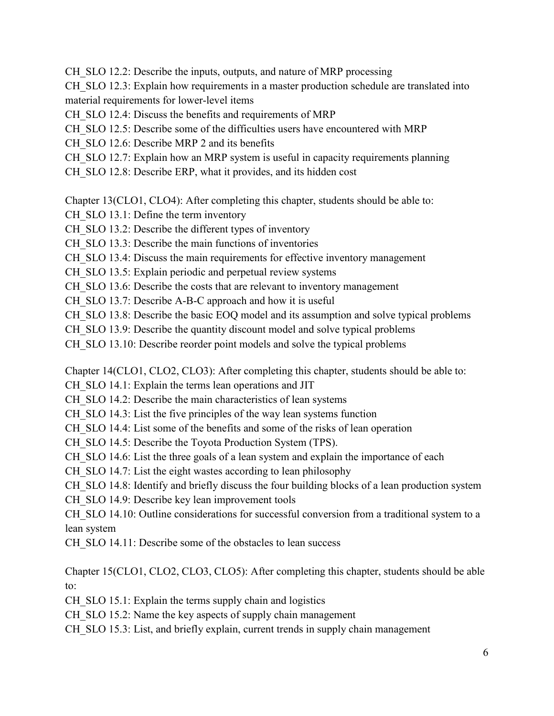CH SLO 12.2: Describe the inputs, outputs, and nature of MRP processing

CH SLO 12.3: Explain how requirements in a master production schedule are translated into material requirements for lower-level items

CH SLO 12.4: Discuss the benefits and requirements of MRP

CH SLO 12.5: Describe some of the difficulties users have encountered with MRP

CH SLO 12.6: Describe MRP 2 and its benefits

CH SLO 12.7: Explain how an MRP system is useful in capacity requirements planning

CH SLO 12.8: Describe ERP, what it provides, and its hidden cost

Chapter 13(CLO1, CLO4): After completing this chapter, students should be able to:

CH SLO 13.1: Define the term inventory

CH SLO 13.2: Describe the different types of inventory

CH SLO 13.3: Describe the main functions of inventories

CH SLO 13.4: Discuss the main requirements for effective inventory management

CH SLO 13.5: Explain periodic and perpetual review systems

CH SLO 13.6: Describe the costs that are relevant to inventory management

CH SLO 13.7: Describe A-B-C approach and how it is useful

CH SLO 13.8: Describe the basic EOQ model and its assumption and solve typical problems

CH SLO 13.9: Describe the quantity discount model and solve typical problems

CH SLO 13.10: Describe reorder point models and solve the typical problems

Chapter 14(CLO1, CLO2, CLO3): After completing this chapter, students should be able to:

CH SLO 14.1: Explain the terms lean operations and JIT

CH SLO 14.2: Describe the main characteristics of lean systems

CH SLO 14.3: List the five principles of the way lean systems function

CH SLO 14.4: List some of the benefits and some of the risks of lean operation

CH SLO 14.5: Describe the Toyota Production System (TPS).

CH SLO 14.6: List the three goals of a lean system and explain the importance of each

CH SLO 14.7: List the eight wastes according to lean philosophy

CH SLO 14.8: Identify and briefly discuss the four building blocks of a lean production system

CH SLO 14.9: Describe key lean improvement tools

CH SLO 14.10: Outline considerations for successful conversion from a traditional system to a lean system

CH SLO 14.11: Describe some of the obstacles to lean success

Chapter 15(CLO1, CLO2, CLO3, CLO5): After completing this chapter, students should be able to:

CH SLO 15.1: Explain the terms supply chain and logistics

CH SLO 15.2: Name the key aspects of supply chain management

CH SLO 15.3: List, and briefly explain, current trends in supply chain management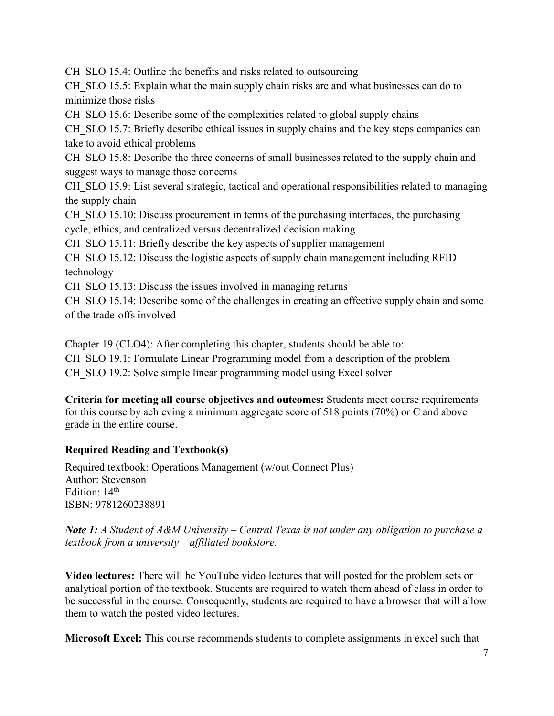CH SLO 15.4: Outline the benefits and risks related to outsourcing

CH SLO 15.5: Explain what the main supply chain risks are and what businesses can do to minimize those risks

CH\_SLO 15.6: Describe some of the complexities related to global supply chains

CH SLO 15.7: Briefly describe ethical issues in supply chains and the key steps companies can take to avoid ethical problems

CH SLO 15.8: Describe the three concerns of small businesses related to the supply chain and suggest ways to manage those concerns

CH SLO 15.9: List several strategic, tactical and operational responsibilities related to managing the supply chain

CH SLO 15.10: Discuss procurement in terms of the purchasing interfaces, the purchasing cycle, ethics, and centralized versus decentralized decision making

CH SLO 15.11: Briefly describe the key aspects of supplier management

CH\_SLO 15.12: Discuss the logistic aspects of supply chain management including RFID technology

CH SLO 15.13: Discuss the issues involved in managing returns

CH SLO 15.14: Describe some of the challenges in creating an effective supply chain and some of the trade-offs involved

Chapter 19 (CLO4): After completing this chapter, students should be able to: CH\_SLO 19.1: Formulate Linear Programming model from a description of the problem CH SLO 19.2: Solve simple linear programming model using Excel solver

**Criteria for meeting all course objectives and outcomes:** Students meet course requirements for this course by achieving a minimum aggregate score of 518 points (70%) or C and above grade in the entire course.

## **Required Reading and Textbook(s)**

Required textbook: Operations Management (w/out Connect Plus) Author: Stevenson Edition: 14<sup>th</sup> ISBN: 9781260238891

*Note 1: A Student of A&M University – Central Texas is not under any obligation to purchase a textbook from a university – affiliated bookstore.*

**Video lectures:** There will be YouTube video lectures that will posted for the problem sets or analytical portion of the textbook. Students are required to watch them ahead of class in order to be successful in the course. Consequently, students are required to have a browser that will allow them to watch the posted video lectures.

**Microsoft Excel:** This course recommends students to complete assignments in excel such that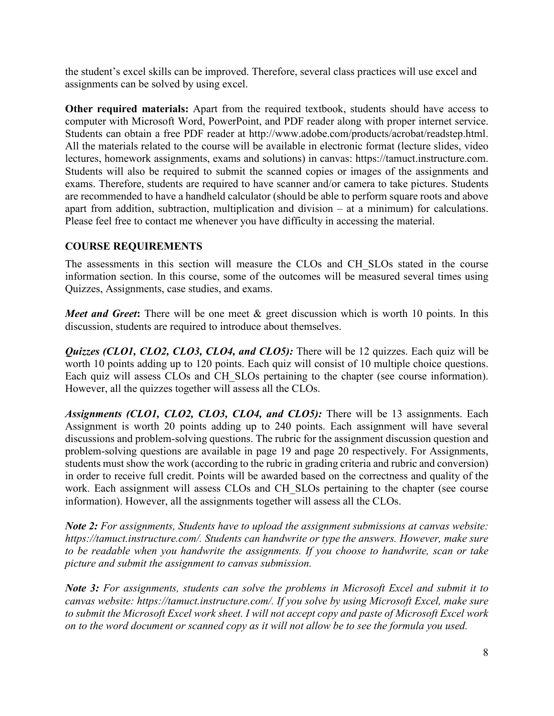the student's excel skills can be improved. Therefore, several class practices will use excel and assignments can be solved by using excel.

**Other required materials:** Apart from the required textbook, students should have access to computer with Microsoft Word, PowerPoint, and PDF reader along with proper internet service. Students can obtain a free PDF reader at http://www.adobe.com/products/acrobat/readstep.html. All the materials related to the course will be available in electronic format (lecture slides, video lectures, homework assignments, exams and solutions) in canvas: https://tamuct.instructure.com. Students will also be required to submit the scanned copies or images of the assignments and exams. Therefore, students are required to have scanner and/or camera to take pictures. Students are recommended to have a handheld calculator (should be able to perform square roots and above apart from addition, subtraction, multiplication and division – at a minimum) for calculations. Please feel free to contact me whenever you have difficulty in accessing the material.

## **COURSE REQUIREMENTS**

The assessments in this section will measure the CLOs and CH\_SLOs stated in the course information section. In this course, some of the outcomes will be measured several times using Quizzes, Assignments, case studies, and exams.

*Meet and Greet*: There will be one meet & greet discussion which is worth 10 points. In this discussion, students are required to introduce about themselves.

*Quizzes (CLO1, CLO2, CLO3, CLO4, and CLO5):* There will be 12 quizzes. Each quiz will be worth 10 points adding up to 120 points. Each quiz will consist of 10 multiple choice questions. Each quiz will assess CLOs and CH\_SLOs pertaining to the chapter (see course information). However, all the quizzes together will assess all the CLOs.

*Assignments (CLO1, CLO2, CLO3, CLO4, and CLO5):* There will be 13 assignments. Each Assignment is worth 20 points adding up to 240 points. Each assignment will have several discussions and problem-solving questions. The rubric for the assignment discussion question and problem-solving questions are available in page 19 and page 20 respectively. For Assignments, students must show the work (according to the rubric in grading criteria and rubric and conversion) in order to receive full credit. Points will be awarded based on the correctness and quality of the work. Each assignment will assess CLOs and CH SLOs pertaining to the chapter (see course information). However, all the assignments together will assess all the CLOs.

*Note 2: For assignments, Students have to upload the assignment submissions at canvas website: https://tamuct.instructure.com/. Students can handwrite or type the answers. However, make sure to be readable when you handwrite the assignments. If you choose to handwrite, scan or take picture and submit the assignment to canvas submission.* 

*Note 3: For assignments, students can solve the problems in Microsoft Excel and submit it to canvas website: https://tamuct.instructure.com/. If you solve by using Microsoft Excel, make sure to submit the Microsoft Excel work sheet. I will not accept copy and paste of Microsoft Excel work on to the word document or scanned copy as it will not allow be to see the formula you used.*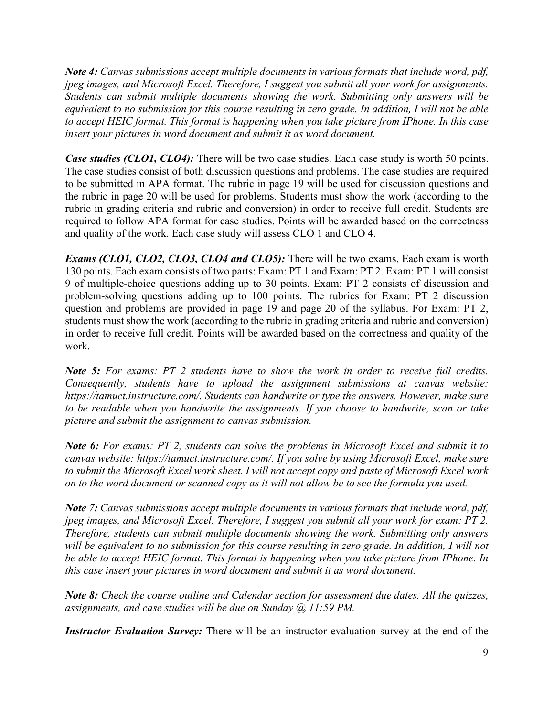*Note 4: Canvas submissions accept multiple documents in various formats that include word, pdf, jpeg images, and Microsoft Excel. Therefore, I suggest you submit all your work for assignments. Students can submit multiple documents showing the work. Submitting only answers will be equivalent to no submission for this course resulting in zero grade. In addition, I will not be able to accept HEIC format. This format is happening when you take picture from IPhone. In this case insert your pictures in word document and submit it as word document.* 

*Case studies (CLO1, CLO4):* There will be two case studies. Each case study is worth 50 points. The case studies consist of both discussion questions and problems. The case studies are required to be submitted in APA format. The rubric in page 19 will be used for discussion questions and the rubric in page 20 will be used for problems. Students must show the work (according to the rubric in grading criteria and rubric and conversion) in order to receive full credit. Students are required to follow APA format for case studies. Points will be awarded based on the correctness and quality of the work. Each case study will assess CLO 1 and CLO 4.

*Exams (CLO1, CLO2, CLO3, CLO4 and CLO5):* There will be two exams. Each exam is worth 130 points. Each exam consists of two parts: Exam: PT 1 and Exam: PT 2. Exam: PT 1 will consist 9 of multiple-choice questions adding up to 30 points. Exam: PT 2 consists of discussion and problem-solving questions adding up to 100 points. The rubrics for Exam: PT 2 discussion question and problems are provided in page 19 and page 20 of the syllabus. For Exam: PT 2, students must show the work (according to the rubric in grading criteria and rubric and conversion) in order to receive full credit. Points will be awarded based on the correctness and quality of the work.

*Note 5: For exams: PT 2 students have to show the work in order to receive full credits. Consequently, students have to upload the assignment submissions at canvas website: https://tamuct.instructure.com/. Students can handwrite or type the answers. However, make sure to be readable when you handwrite the assignments. If you choose to handwrite, scan or take picture and submit the assignment to canvas submission.* 

*Note 6: For exams: PT 2, students can solve the problems in Microsoft Excel and submit it to canvas website: https://tamuct.instructure.com/. If you solve by using Microsoft Excel, make sure to submit the Microsoft Excel work sheet. I will not accept copy and paste of Microsoft Excel work on to the word document or scanned copy as it will not allow be to see the formula you used.* 

*Note 7: Canvas submissions accept multiple documents in various formats that include word, pdf, jpeg images, and Microsoft Excel. Therefore, I suggest you submit all your work for exam: PT 2. Therefore, students can submit multiple documents showing the work. Submitting only answers*  will be equivalent to no submission for this course resulting in zero grade. In addition, I will not *be able to accept HEIC format. This format is happening when you take picture from IPhone. In this case insert your pictures in word document and submit it as word document.*

*Note 8: Check the course outline and Calendar section for assessment due dates. All the quizzes, assignments, and case studies will be due on Sunday @ 11:59 PM.*

*Instructor Evaluation Survey:* There will be an instructor evaluation survey at the end of the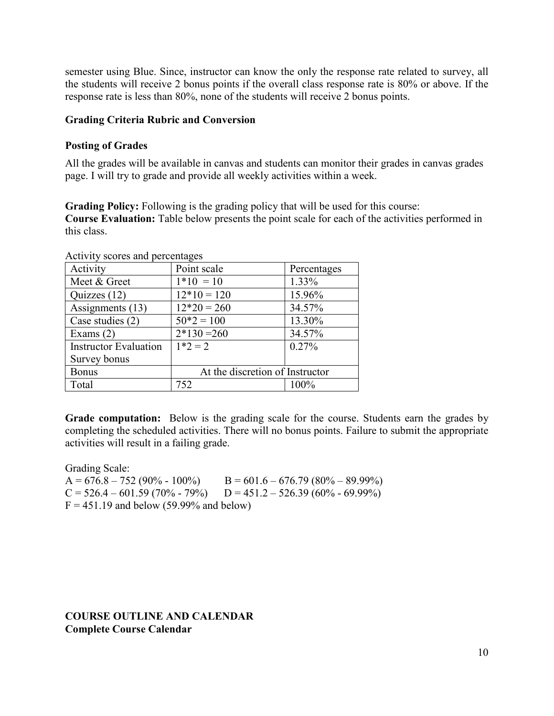semester using Blue. Since, instructor can know the only the response rate related to survey, all the students will receive 2 bonus points if the overall class response rate is 80% or above. If the response rate is less than 80%, none of the students will receive 2 bonus points.

#### **Grading Criteria Rubric and Conversion**

#### **Posting of Grades**

All the grades will be available in canvas and students can monitor their grades in canvas grades page. I will try to grade and provide all weekly activities within a week.

**Grading Policy:** Following is the grading policy that will be used for this course: **Course Evaluation:** Table below presents the point scale for each of the activities performed in this class.

| ACTIVITY SCOTES and perfectuages |                                 |             |  |  |
|----------------------------------|---------------------------------|-------------|--|--|
| Activity                         | Point scale                     | Percentages |  |  |
| Meet & Greet                     | $1*10 = 10$                     | 1.33%       |  |  |
| Quizzes (12)                     | $12*10 = 120$                   | 15.96%      |  |  |
| Assignments (13)                 | $12*20 = 260$                   | 34.57%      |  |  |
| Case studies (2)                 | $50*2 = 100$                    | 13.30%      |  |  |
| Exams $(2)$                      | $2*130=260$                     | 34.57%      |  |  |
| <b>Instructor Evaluation</b>     | $1*2 = 2$                       | $0.27\%$    |  |  |
| Survey bonus                     |                                 |             |  |  |
| <b>Bonus</b>                     | At the discretion of Instructor |             |  |  |
| Total                            | 752                             | 100%        |  |  |

Activity scores and percentages

**Grade computation:** Below is the grading scale for the course. Students earn the grades by completing the scheduled activities. There will no bonus points. Failure to submit the appropriate activities will result in a failing grade.

Grading Scale:  $A = 676.8 - 752 (90\% - 100\%)$   $B = 601.6 - 676.79 (80\% - 89.99\%)$  $C = 526.4 - 601.59 (70\% - 79\%)$   $D = 451.2 - 526.39 (60\% - 69.99\%)$  $F = 451.19$  and below (59.99% and below)

**COURSE OUTLINE AND CALENDAR Complete Course Calendar**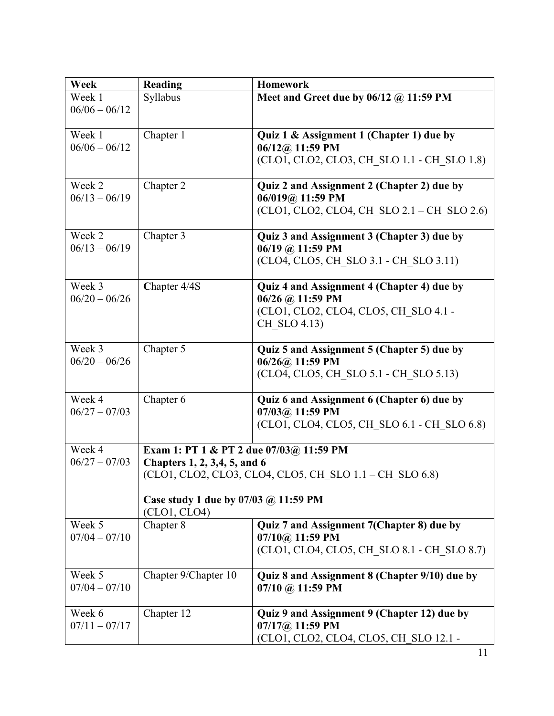| Week            | <b>Reading</b>                                       | <b>Homework</b>                                         |  |  |
|-----------------|------------------------------------------------------|---------------------------------------------------------|--|--|
| Week 1          | Syllabus                                             | Meet and Greet due by $06/12$ @ 11:59 PM                |  |  |
| $06/06 - 06/12$ |                                                      |                                                         |  |  |
| Week 1          | Chapter 1                                            | Quiz 1 & Assignment 1 (Chapter 1) due by                |  |  |
| $06/06 - 06/12$ |                                                      | $06/12@$ 11:59 PM                                       |  |  |
|                 |                                                      | (CLO1, CLO2, CLO3, CH_SLO 1.1 - CH_SLO 1.8)             |  |  |
| Week 2          | Chapter 2                                            | Quiz 2 and Assignment 2 (Chapter 2) due by              |  |  |
| $06/13 - 06/19$ |                                                      | 06/019@ 11:59 PM                                        |  |  |
|                 |                                                      | (CLO1, CLO2, CLO4, CH SLO 2.1 – CH SLO 2.6)             |  |  |
| Week 2          | Chapter 3                                            | Quiz 3 and Assignment 3 (Chapter 3) due by              |  |  |
| $06/13 - 06/19$ |                                                      | 06/19 @ 11:59 PM                                        |  |  |
|                 |                                                      | (CLO4, CLO5, CH SLO 3.1 - CH SLO 3.11)                  |  |  |
| Week 3          | Chapter 4/4S                                         | Quiz 4 and Assignment 4 (Chapter 4) due by              |  |  |
| $06/20 - 06/26$ |                                                      | 06/26 @ 11:59 PM                                        |  |  |
|                 |                                                      | (CLO1, CLO2, CLO4, CLO5, CH SLO 4.1 -                   |  |  |
|                 |                                                      | CH SLO 4.13)                                            |  |  |
| Week 3          | Chapter 5                                            | Quiz 5 and Assignment 5 (Chapter 5) due by              |  |  |
| $06/20 - 06/26$ |                                                      | $06/26@$ 11:59 PM                                       |  |  |
|                 |                                                      | (CLO4, CLO5, CH SLO 5.1 - CH SLO 5.13)                  |  |  |
| Week 4          | Chapter $\overline{6}$                               | Quiz 6 and Assignment 6 (Chapter 6) due by              |  |  |
| $06/27 - 07/03$ |                                                      | $07/03@11:59$ PM                                        |  |  |
|                 |                                                      | (CLO1, CLO4, CLO5, CH SLO 6.1 - CH SLO 6.8)             |  |  |
| Week 4          | Exam 1: PT 1 & PT 2 due 07/03@ 11:59 PM              |                                                         |  |  |
| $06/27 - 07/03$ | Chapters 1, 2, 3,4, 5, and 6                         |                                                         |  |  |
|                 |                                                      | (CLO1, CLO2, CLO3, CLO4, CLO5, CH SLO 1.1 – CH SLO 6.8) |  |  |
|                 | Case study 1 due by 07/03 @ 11:59 PM<br>(CLO1, CLO4) |                                                         |  |  |
| Week 5          | Chapter 8                                            | Quiz 7 and Assignment 7(Chapter 8) due by               |  |  |
| $07/04 - 07/10$ |                                                      | $07/10@$ 11:59 PM                                       |  |  |
|                 |                                                      | (CLO1, CLO4, CLO5, CH SLO 8.1 - CH SLO 8.7)             |  |  |
| Week 5          | Chapter 9/Chapter 10                                 | Quiz 8 and Assignment 8 (Chapter 9/10) due by           |  |  |
| $07/04 - 07/10$ |                                                      | $07/10$ @ 11:59 PM                                      |  |  |
| Week 6          | Chapter 12                                           | Quiz 9 and Assignment 9 (Chapter 12) due by             |  |  |
| $07/11 - 07/17$ |                                                      | $07/17@$ 11:59 PM                                       |  |  |
|                 |                                                      | (CLO1, CLO2, CLO4, CLO5, CH SLO 12.1 -                  |  |  |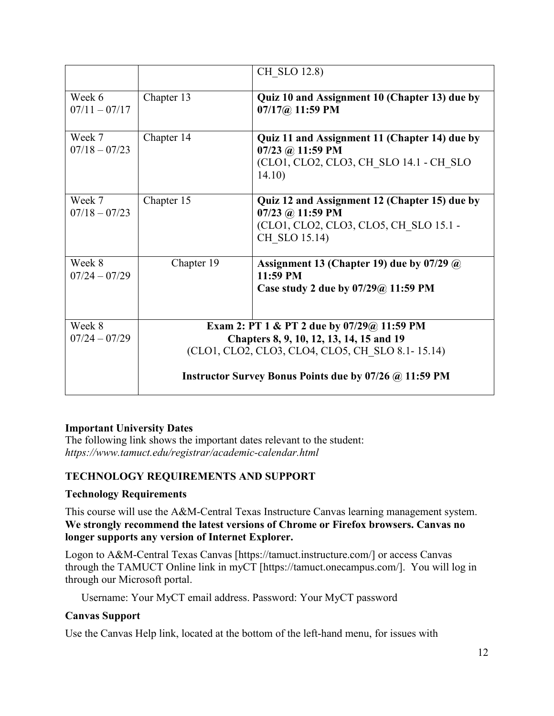|                           |                                                                                        | CH SLO 12.8)                                                                                                                 |  |  |
|---------------------------|----------------------------------------------------------------------------------------|------------------------------------------------------------------------------------------------------------------------------|--|--|
| Week 6<br>$07/11 - 07/17$ | Chapter 13                                                                             | Quiz 10 and Assignment 10 (Chapter 13) due by<br>$07/17@11:59$ PM                                                            |  |  |
| Week 7<br>$07/18 - 07/23$ | Chapter 14                                                                             | Quiz 11 and Assignment 11 (Chapter 14) due by<br>$07/23$ @ 11:59 PM<br>(CLO1, CLO2, CLO3, CH SLO 14.1 - CH SLO<br>14.10)     |  |  |
| Week 7<br>$07/18 - 07/23$ | Chapter 15                                                                             | Quiz 12 and Assignment 12 (Chapter 15) due by<br>07/23 @ 11:59 PM<br>(CLO1, CLO2, CLO3, CLO5, CH SLO 15.1 -<br>CH SLO 15.14) |  |  |
| Week 8<br>$07/24 - 07/29$ | Chapter 19                                                                             | Assignment 13 (Chapter 19) due by 07/29 @<br>11:59 PM<br>Case study 2 due by 07/29@ 11:59 PM                                 |  |  |
| Week 8<br>$07/24 - 07/29$ | Exam 2: PT 1 & PT 2 due by 07/29@ 11:59 PM<br>Chapters 8, 9, 10, 12, 13, 14, 15 and 19 |                                                                                                                              |  |  |
|                           | (CLO1, CLO2, CLO3, CLO4, CLO5, CH SLO 8.1-15.14)                                       |                                                                                                                              |  |  |
|                           | Instructor Survey Bonus Points due by 07/26 @ 11:59 PM                                 |                                                                                                                              |  |  |

## **Important University Dates**

The following link shows the important dates relevant to the student: *https://www.tamuct.edu/registrar/academic-calendar.html*

## **TECHNOLOGY REQUIREMENTS AND SUPPORT**

## **Technology Requirements**

This course will use the A&M-Central Texas Instructure Canvas learning management system. **We strongly recommend the latest versions of Chrome or Firefox browsers. Canvas no longer supports any version of Internet Explorer.**

Logon to A&M-Central Texas Canvas [https://tamuct.instructure.com/] or access Canvas through the TAMUCT Online link in myCT [https://tamuct.onecampus.com/]. You will log in through our Microsoft portal.

Username: Your MyCT email address. Password: Your MyCT password

## **Canvas Support**

Use the Canvas Help link, located at the bottom of the left-hand menu, for issues with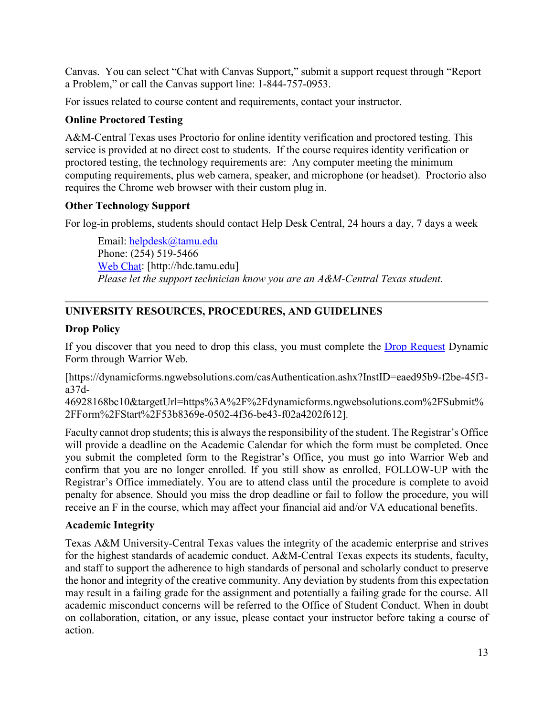Canvas. You can select "Chat with Canvas Support," submit a support request through "Report a Problem," or call the Canvas support line: 1-844-757-0953.

For issues related to course content and requirements, contact your instructor.

## **Online Proctored Testing**

A&M-Central Texas uses Proctorio for online identity verification and proctored testing. This service is provided at no direct cost to students. If the course requires identity verification or proctored testing, the technology requirements are: Any computer meeting the minimum computing requirements, plus web camera, speaker, and microphone (or headset). Proctorio also requires the Chrome web browser with their custom plug in.

## **Other Technology Support**

For log-in problems, students should contact Help Desk Central, 24 hours a day, 7 days a week

Email: [helpdesk@tamu.edu](mailto:helpdesk@tamu.edu) Phone: (254) 519-5466 [Web Chat:](http://hdc.tamu.edu/) [http://hdc.tamu.edu] *Please let the support technician know you are an A&M-Central Texas student.*

## **UNIVERSITY RESOURCES, PROCEDURES, AND GUIDELINES**

## **Drop Policy**

If you discover that you need to drop this class, you must complete the [Drop Request](https://dynamicforms.ngwebsolutions.com/casAuthentication.ashx?InstID=eaed95b9-f2be-45f3-a37d-46928168bc10&targetUrl=https%3A%2F%2Fdynamicforms.ngwebsolutions.com%2FSubmit%2FForm%2FStart%2F53b8369e-0502-4f36-be43-f02a4202f612) Dynamic Form through Warrior Web.

[https://dynamicforms.ngwebsolutions.com/casAuthentication.ashx?InstID=eaed95b9-f2be-45f3 a37d-

46928168bc10&targetUrl=https%3A%2F%2Fdynamicforms.ngwebsolutions.com%2FSubmit% 2FForm%2FStart%2F53b8369e-0502-4f36-be43-f02a4202f612].

Faculty cannot drop students; this is always the responsibility of the student. The Registrar's Office will provide a deadline on the Academic Calendar for which the form must be completed. Once you submit the completed form to the Registrar's Office, you must go into Warrior Web and confirm that you are no longer enrolled. If you still show as enrolled, FOLLOW-UP with the Registrar's Office immediately. You are to attend class until the procedure is complete to avoid penalty for absence. Should you miss the drop deadline or fail to follow the procedure, you will receive an F in the course, which may affect your financial aid and/or VA educational benefits.

## **Academic Integrity**

Texas A&M University-Central Texas values the integrity of the academic enterprise and strives for the highest standards of academic conduct. A&M-Central Texas expects its students, faculty, and staff to support the adherence to high standards of personal and scholarly conduct to preserve the honor and integrity of the creative community. Any deviation by students from this expectation may result in a failing grade for the assignment and potentially a failing grade for the course. All academic misconduct concerns will be referred to the Office of Student Conduct. When in doubt on collaboration, citation, or any issue, please contact your instructor before taking a course of action.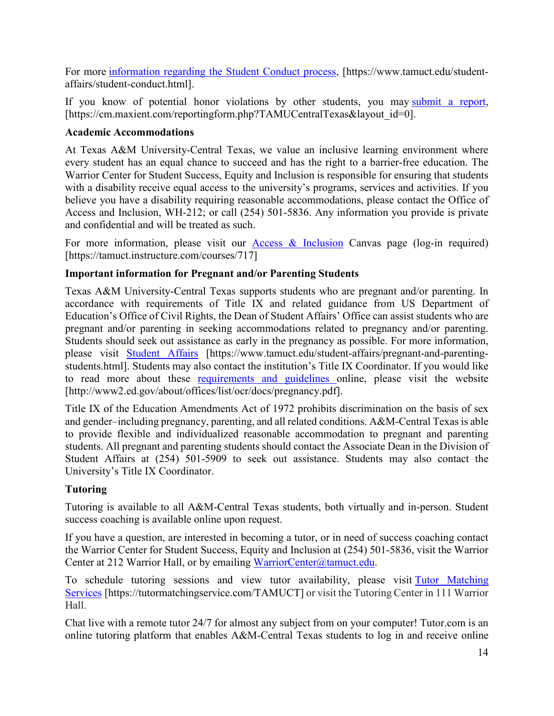For more [information](https://nam04.safelinks.protection.outlook.com/?url=https%3A%2F%2Fwww.tamuct.edu%2Fstudent-affairs%2Fstudent-conduct.html&data=04%7C01%7Clisa.bunkowski%40tamuct.edu%7Ccfb6e486f24745f53e1a08d910055cb2%7C9eed4e3000f744849ff193ad8005acec%7C0%7C0%7C637558437485252160%7CUnknown%7CTWFpbGZsb3d8eyJWIjoiMC4wLjAwMDAiLCJQIjoiV2luMzIiLCJBTiI6Ik1haWwiLCJXVCI6Mn0%3D%7C1000&sdata=yjftDEVHvLX%2FhM%2FcFU0B99krV1RgEWR%2BJ%2BhvtoR6TYk%3D&reserved=0) regarding the Student Conduct process, [https://www.tamuct.edu/studentaffairs/student-conduct.html].

If you know of potential honor violations by other students, you may [submit](https://nam04.safelinks.protection.outlook.com/?url=https%3A%2F%2Fcm.maxient.com%2Freportingform.php%3FTAMUCentralTexas%26layout_id%3D0&data=04%7C01%7Clisa.bunkowski%40tamuct.edu%7Ccfb6e486f24745f53e1a08d910055cb2%7C9eed4e3000f744849ff193ad8005acec%7C0%7C0%7C637558437485262157%7CUnknown%7CTWFpbGZsb3d8eyJWIjoiMC4wLjAwMDAiLCJQIjoiV2luMzIiLCJBTiI6Ik1haWwiLCJXVCI6Mn0%3D%7C1000&sdata=CXGkOa6uPDPX1IMZ87z3aZDq2n91xfHKu4MMS43Ejjk%3D&reserved=0) a report, [https://cm.maxient.com/reportingform.php?TAMUCentralTexas&layout\_id=0].

## **Academic Accommodations**

At Texas A&M University-Central Texas, we value an inclusive learning environment where every student has an equal chance to succeed and has the right to a barrier-free education. The Warrior Center for Student Success, Equity and Inclusion is responsible for ensuring that students with a disability receive equal access to the university's programs, services and activities. If you believe you have a disability requiring reasonable accommodations, please contact the Office of Access and Inclusion, WH-212; or call (254) 501-5836. Any information you provide is private and confidential and will be treated as such.

For more information, please visit our [Access & Inclusion](https://tamuct.instructure.com/courses/717) Canvas page (log-in required) [https://tamuct.instructure.com/courses/717]

## **Important information for Pregnant and/or Parenting Students**

Texas A&M University-Central Texas supports students who are pregnant and/or parenting. In accordance with requirements of Title IX and related guidance from US Department of Education's Office of Civil Rights, the Dean of Student Affairs' Office can assist students who are pregnant and/or parenting in seeking accommodations related to pregnancy and/or parenting. Students should seek out assistance as early in the pregnancy as possible. For more information, please visit [Student Affairs](https://www.tamuct.edu/student-affairs/pregnant-and-parenting-students.html) [https://www.tamuct.edu/student-affairs/pregnant-and-parentingstudents.html]. Students may also contact the institution's Title IX Coordinator. If you would like to read more about these [requirements and guidelines](http://www2.ed.gov/about/offices/list/ocr/docs/pregnancy.pdf) online, please visit the website [http://www2.ed.gov/about/offices/list/ocr/docs/pregnancy.pdf].

Title IX of the Education Amendments Act of 1972 prohibits discrimination on the basis of sex and gender–including pregnancy, parenting, and all related conditions. A&M-Central Texas is able to provide flexible and individualized reasonable accommodation to pregnant and parenting students. All pregnant and parenting students should contact the Associate Dean in the Division of Student Affairs at (254) 501-5909 to seek out assistance. Students may also contact the University's Title IX Coordinator.

## **Tutoring**

Tutoring is available to all A&M-Central Texas students, both virtually and in-person. Student success coaching is available online upon request.

If you have a question, are interested in becoming a tutor, or in need of success coaching contact the Warrior Center for Student Success, Equity and Inclusion at (254) 501-5836, visit the Warrior Center at 212 Warrior Hall, or by emailing [WarriorCenter@tamuct.edu.](mailto:WarriorCenter@tamuct.edu)

To schedule tutoring sessions and view tutor availability, please visit Tutor [Matching](https://tutormatchingservice.com/TAMUCT) [Services](https://tutormatchingservice.com/TAMUCT) [https://tutormatchingservice.com/TAMUCT] or visit the Tutoring Center in 111 Warrior Hall.

Chat live with a remote tutor 24/7 for almost any subject from on your computer! Tutor.com is an online tutoring platform that enables A&M-Central Texas students to log in and receive online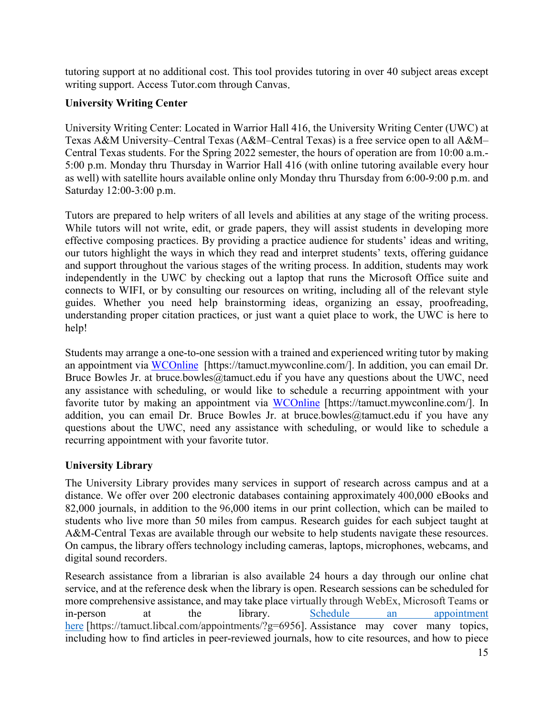tutoring support at no additional cost. This tool provides tutoring in over 40 subject areas except writing support. Access Tutor.com through Canvas.

## **University Writing Center**

University Writing Center: Located in Warrior Hall 416, the University Writing Center (UWC) at Texas A&M University–Central Texas (A&M–Central Texas) is a free service open to all A&M– Central Texas students. For the Spring 2022 semester, the hours of operation are from 10:00 a.m.- 5:00 p.m. Monday thru Thursday in Warrior Hall 416 (with online tutoring available every hour as well) with satellite hours available online only Monday thru Thursday from 6:00-9:00 p.m. and Saturday 12:00-3:00 p.m.

Tutors are prepared to help writers of all levels and abilities at any stage of the writing process. While tutors will not write, edit, or grade papers, they will assist students in developing more effective composing practices. By providing a practice audience for students' ideas and writing, our tutors highlight the ways in which they read and interpret students' texts, offering guidance and support throughout the various stages of the writing process. In addition, students may work independently in the UWC by checking out a laptop that runs the Microsoft Office suite and connects to WIFI, or by consulting our resources on writing, including all of the relevant style guides. Whether you need help brainstorming ideas, organizing an essay, proofreading, understanding proper citation practices, or just want a quiet place to work, the UWC is here to help!

Students may arrange a one-to-one session with a trained and experienced writing tutor by making an appointment via [WCOnline](https://tamuct.mywconline.com/) [https://tamuct.mywconline.com/]. In addition, you can email Dr. Bruce Bowles Jr. at bruce.bowles@tamuct.edu if you have any questions about the UWC, need any assistance with scheduling, or would like to schedule a recurring appointment with your favorite tutor by making an appointment via [WCOnline](https://tamuct.mywconline.com/) [https://tamuct.mywconline.com/]. In addition, you can email Dr. Bruce Bowles Jr. at bruce.bowles@tamuct.edu if you have any questions about the UWC, need any assistance with scheduling, or would like to schedule a recurring appointment with your favorite tutor.

## **University Library**

The University Library provides many services in support of research across campus and at a distance. We offer over 200 electronic databases containing approximately 400,000 eBooks and 82,000 journals, in addition to the 96,000 items in our print collection, which can be mailed to students who live more than 50 miles from campus. Research guides for each subject taught at A&M-Central Texas are available through our website to help students navigate these resources. On campus, the library offers technology including cameras, laptops, microphones, webcams, and digital sound recorders.

Research assistance from a librarian is also available 24 hours a day through our online chat service, and at the reference desk when the library is open. Research sessions can be scheduled for more comprehensive assistance, and may take place virtually through WebEx, Microsoft Teams or in-person at the library. Schedule an [appointment](https://nam04.safelinks.protection.outlook.com/?url=https%3A%2F%2Ftamuct.libcal.com%2Fappointments%2F%3Fg%3D6956&data=04%7C01%7Clisa.bunkowski%40tamuct.edu%7Cde2c07d9f5804f09518008d9ab7ba6ff%7C9eed4e3000f744849ff193ad8005acec%7C0%7C0%7C637729369835011558%7CUnknown%7CTWFpbGZsb3d8eyJWIjoiMC4wLjAwMDAiLCJQIjoiV2luMzIiLCJBTiI6Ik1haWwiLCJXVCI6Mn0%3D%7C3000&sdata=KhtjgRSAw9aq%2FoBsB6wyu8b7PSuGN5EGPypzr3Ty2No%3D&reserved=0) [here](https://nam04.safelinks.protection.outlook.com/?url=https%3A%2F%2Ftamuct.libcal.com%2Fappointments%2F%3Fg%3D6956&data=04%7C01%7Clisa.bunkowski%40tamuct.edu%7Cde2c07d9f5804f09518008d9ab7ba6ff%7C9eed4e3000f744849ff193ad8005acec%7C0%7C0%7C637729369835011558%7CUnknown%7CTWFpbGZsb3d8eyJWIjoiMC4wLjAwMDAiLCJQIjoiV2luMzIiLCJBTiI6Ik1haWwiLCJXVCI6Mn0%3D%7C3000&sdata=KhtjgRSAw9aq%2FoBsB6wyu8b7PSuGN5EGPypzr3Ty2No%3D&reserved=0) [https://tamuct.libcal.com/appointments/?g=6956]. Assistance may cover many topics, including how to find articles in peer-reviewed journals, how to cite resources, and how to piece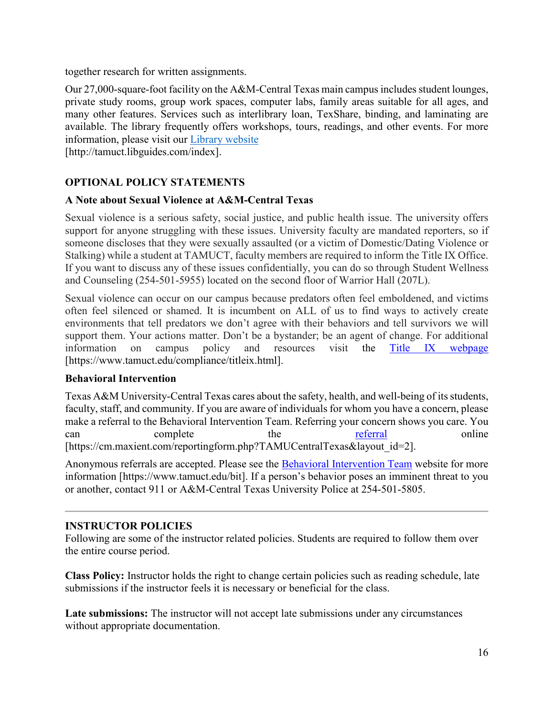together research for written assignments.

Our 27,000-square-foot facility on the A&M-Central Texas main campus includes student lounges, private study rooms, group work spaces, computer labs, family areas suitable for all ages, and many other features. Services such as interlibrary loan, TexShare, binding, and laminating are available. The library frequently offers workshops, tours, readings, and other events. For more information, please visit our Library [website](https://nam04.safelinks.protection.outlook.com/?url=https%3A%2F%2Ftamuct.libguides.com%2Findex&data=04%7C01%7Clisa.bunkowski%40tamuct.edu%7C7d8489e8839a4915335f08d916f067f2%7C9eed4e3000f744849ff193ad8005acec%7C0%7C0%7C637566044056484222%7CUnknown%7CTWFpbGZsb3d8eyJWIjoiMC4wLjAwMDAiLCJQIjoiV2luMzIiLCJBTiI6Ik1haWwiLCJXVCI6Mn0%3D%7C1000&sdata=2R755V6rcIyedGrd4Os5rkgn1PvhHKU3kUV1vBKiHFo%3D&reserved=0)

[http://tamuct.libguides.com/index].

## **OPTIONAL POLICY STATEMENTS**

## **A Note about Sexual Violence at A&M-Central Texas**

Sexual violence is a serious safety, social justice, and public health issue. The university offers support for anyone struggling with these issues. University faculty are mandated reporters, so if someone discloses that they were sexually assaulted (or a victim of Domestic/Dating Violence or Stalking) while a student at TAMUCT, faculty members are required to inform the Title IX Office. If you want to discuss any of these issues confidentially, you can do so through Student Wellness and Counseling (254-501-5955) located on the second floor of Warrior Hall (207L).

Sexual violence can occur on our campus because predators often feel emboldened, and victims often feel silenced or shamed. It is incumbent on ALL of us to find ways to actively create environments that tell predators we don't agree with their behaviors and tell survivors we will support them. Your actions matter. Don't be a bystander; be an agent of change. For additional information on campus policy and resources visit the [Title IX webpage](https://www.tamuct.edu/compliance/titleix.html) [\[https://www.tamuct.edu/compliance/titleix.html\]](https://www.tamuct.edu/compliance/titleix.html).

## **Behavioral Intervention**

Texas A&M University-Central Texas cares about the safety, health, and well-being of its students, faculty, staff, and community. If you are aware of individuals for whom you have a concern, please make a referral to the Behavioral Intervention Team. Referring your concern shows you care. You can complete the [referral](https://cm.maxient.com/reportingform.php?TAMUCentralTexas&layout_id=2) online [https://cm.maxient.com/reportingform.php?TAMUCentralTexas&layout\_id=2].

Anonymous referrals are accepted. Please see the [Behavioral Intervention Team](https://www.tamuct.edu/bit) website for more information [https://www.tamuct.edu/bit]. If a person's behavior poses an imminent threat to you or another, contact 911 or A&M-Central Texas University Police at 254-501-5805.

## **INSTRUCTOR POLICIES**

Following are some of the instructor related policies. Students are required to follow them over the entire course period.

**Class Policy:** Instructor holds the right to change certain policies such as reading schedule, late submissions if the instructor feels it is necessary or beneficial for the class.

**Late submissions:** The instructor will not accept late submissions under any circumstances without appropriate documentation.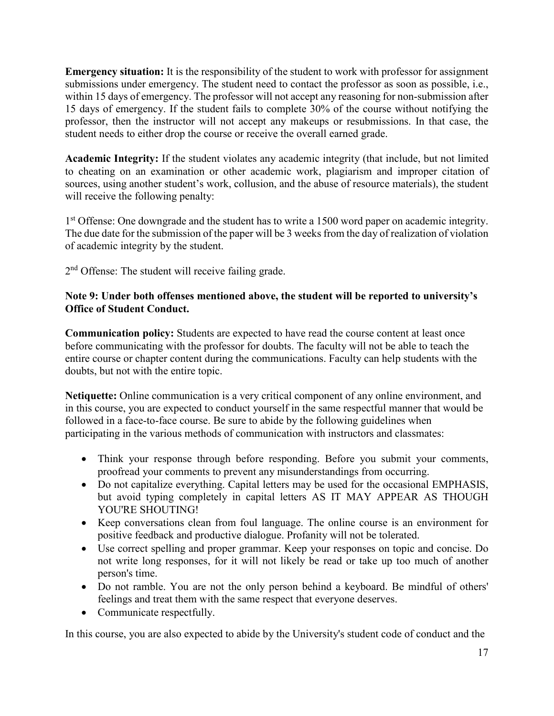**Emergency situation:** It is the responsibility of the student to work with professor for assignment submissions under emergency. The student need to contact the professor as soon as possible, i.e., within 15 days of emergency. The professor will not accept any reasoning for non-submission after 15 days of emergency. If the student fails to complete 30% of the course without notifying the professor, then the instructor will not accept any makeups or resubmissions. In that case, the student needs to either drop the course or receive the overall earned grade.

**Academic Integrity:** If the student violates any academic integrity (that include, but not limited to cheating on an examination or other academic work, plagiarism and improper citation of sources, using another student's work, collusion, and the abuse of resource materials), the student will receive the following penalty:

1st Offense: One downgrade and the student has to write a 1500 word paper on academic integrity. The due date for the submission of the paper will be 3 weeks from the day of realization of violation of academic integrity by the student.

2<sup>nd</sup> Offense: The student will receive failing grade.

## **Note 9: Under both offenses mentioned above, the student will be reported to university's Office of Student Conduct.**

**Communication policy:** Students are expected to have read the course content at least once before communicating with the professor for doubts. The faculty will not be able to teach the entire course or chapter content during the communications. Faculty can help students with the doubts, but not with the entire topic.

**Netiquette:** Online communication is a very critical component of any online environment, and in this course, you are expected to conduct yourself in the same respectful manner that would be followed in a face-to-face course. Be sure to abide by the following guidelines when participating in the various methods of communication with instructors and classmates:

- Think your response through before responding. Before you submit your comments, proofread your comments to prevent any misunderstandings from occurring.
- Do not capitalize everything. Capital letters may be used for the occasional EMPHASIS, but avoid typing completely in capital letters AS IT MAY APPEAR AS THOUGH YOU'RE SHOUTING!
- Keep conversations clean from foul language. The online course is an environment for positive feedback and productive dialogue. Profanity will not be tolerated.
- Use correct spelling and proper grammar. Keep your responses on topic and concise. Do not write long responses, for it will not likely be read or take up too much of another person's time.
- Do not ramble. You are not the only person behind a keyboard. Be mindful of others' feelings and treat them with the same respect that everyone deserves.
- Communicate respectfully.

In this course, you are also expected to abide by the University's student code of conduct and the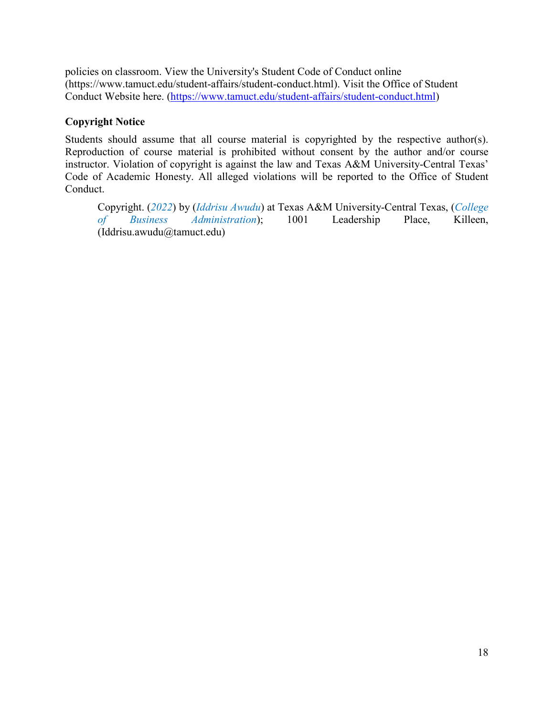policies on classroom. View the University's Student Code of Conduct online (https://www.tamuct.edu/student-affairs/student-conduct.html). Visit the Office of Student Conduct Website here. [\(https://www.tamuct.edu/student-affairs/student-conduct.html\)](https://www.tamuct.edu/student-affairs/student-conduct.html)

## **Copyright Notice**

Students should assume that all course material is copyrighted by the respective author(s). Reproduction of course material is prohibited without consent by the author and/or course instructor. Violation of copyright is against the law and Texas A&M University-Central Texas' Code of Academic Honesty. All alleged violations will be reported to the Office of Student Conduct.

Copyright. (*2022*) by (*Iddrisu Awudu*) at Texas A&M University-Central Texas, (*College of Business Administration*); 1001 Leadership Place, Killeen, (Iddrisu.awudu@tamuct.edu)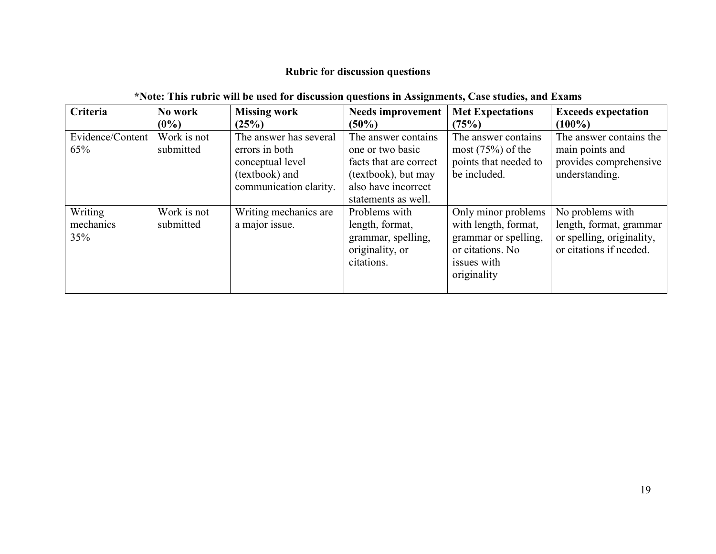# **Rubric for discussion questions**

# **\*Note: This rubric will be used for discussion questions in Assignments, Case studies, and Exams**

| Criteria                    | No work                  | <b>Missing work</b>                                                                                      | <b>Needs improvement</b>                                                                                                               | <b>Met Expectations</b>                                                                                               | <b>Exceeds expectation</b>                                                                          |
|-----------------------------|--------------------------|----------------------------------------------------------------------------------------------------------|----------------------------------------------------------------------------------------------------------------------------------------|-----------------------------------------------------------------------------------------------------------------------|-----------------------------------------------------------------------------------------------------|
|                             | $(0\%)$                  | (25%)                                                                                                    | $(50\%)$                                                                                                                               | (75%)                                                                                                                 | $(100\%)$                                                                                           |
| Evidence/Content<br>65%     | Work is not<br>submitted | The answer has several<br>errors in both<br>conceptual level<br>(textbook) and<br>communication clarity. | The answer contains<br>one or two basic<br>facts that are correct<br>(textbook), but may<br>also have incorrect<br>statements as well. | The answer contains<br>most $(75%)$ of the<br>points that needed to<br>be included.                                   | The answer contains the<br>main points and<br>provides comprehensive<br>understanding.              |
| Writing<br>mechanics<br>35% | Work is not<br>submitted | Writing mechanics are<br>a major issue.                                                                  | Problems with<br>length, format,<br>grammar, spelling,<br>originality, or<br>citations.                                                | Only minor problems<br>with length, format,<br>grammar or spelling,<br>or citations. No<br>issues with<br>originality | No problems with<br>length, format, grammar<br>or spelling, originality,<br>or citations if needed. |